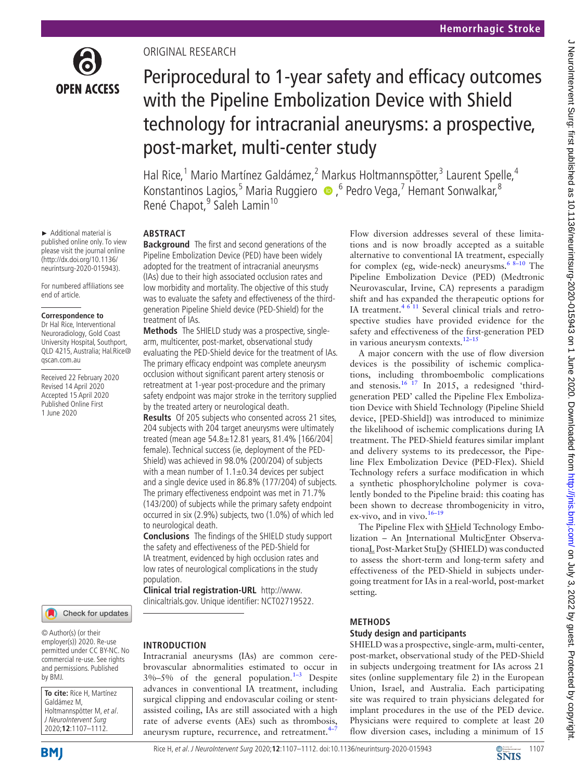

► Additional material is published online only. To view please visit the journal online (http://dx.doi.org/10.1136/ neurintsurg-2020-015943).

For numbered affiliations see end of article.

#### **Correspondence to**

Dr Hal Rice, Interventional Neuroradiology, Gold Coast University Hospital, Southport, QLD 4215, Australia; Hal.Rice@ qscan.com.au

Received 22 February 2020 Revised 14 April 2020 Accepted 15 April 2020 Published Online First 1 June 2020



© Author(s) (or their employer(s)) 2020. Re-use permitted under CC BY-NC. No commercial re-use. See rights and permissions. Published by BMJ.

**To cite:** Rice H, Martínez Galdámez M, Holtmannspötter M, et al. J NeuroIntervent Surg 2020;**12**:1107–1112.

# Original research

# Periprocedural to 1-year safety and efficacy outcomes with the Pipeline Embolization Device with Shield technology for intracranial aneurysms: a prospective, post-market, multi-center study

Hal Rice,<sup>1</sup> Mario Martínez Galdámez,<sup>2</sup> Markus Holtmannspötter,<sup>3</sup> Laurent Spelle,<sup>4</sup> Konstantinos Lagios,<sup>5</sup> Maria Ruggiero  $\bullet$  ,<sup>6</sup> Pedro Vega,<sup>7</sup> Hemant Sonwalkar,<sup>8</sup> René Chapot,<sup>9</sup> Saleh Lamin<sup>10</sup>

# **Abstract**

**Background** The first and second generations of the Pipeline Embolization Device (PED) have been widely adopted for the treatment of intracranial aneurysms (IAs) due to their high associated occlusion rates and low morbidity and mortality. The objective of this study was to evaluate the safety and effectiveness of the thirdgeneration Pipeline Shield device (PED-Shield) for the treatment of IAs.

**Methods** The SHIELD study was a prospective, singlearm, multicenter, post-market, observational study evaluating the PED-Shield device for the treatment of IAs. The primary efficacy endpoint was complete aneurysm occlusion without significant parent artery stenosis or retreatment at 1-year post-procedure and the primary safety endpoint was major stroke in the territory supplied by the treated artery or neurological death.

**Results** Of 205 subjects who consented across 21 sites, 204 subjects with 204 target aneurysms were ultimately treated (mean age 54.8±12.81 years, 81.4% [166/204] female). Technical success (ie, deployment of the PED-Shield) was achieved in 98.0% (200/204) of subjects with a mean number of  $1.1\pm0.34$  devices per subject and a single device used in 86.8% (177/204) of subjects. The primary effectiveness endpoint was met in 71.7% (143/200) of subjects while the primary safety endpoint occurred in six (2.9%) subjects, two (1.0%) of which led to neurological death.

**Conclusions** The findings of the SHIELD study support the safety and effectiveness of the PED-Shield for IA treatment, evidenced by high occlusion rates and low rates of neurological complications in the study population.

**Clinical trial registration-URL** [http://www.](http://www.clinicaltrials.gov.) [clinicaltrials.gov.](http://www.clinicaltrials.gov.) Unique identifier: [NCT02719522.](NCT02719522)

## **Introduction**

Intracranial aneurysms (IAs) are common cerebrovascular abnormalities estimated to occur in  $3\% - 5\%$  of the general population.<sup>1-3</sup> Despite advances in conventional IA treatment, including surgical clipping and endovascular coiling or stentassisted coiling, IAs are still associated with a high rate of adverse events (AEs) such as thrombosis, aneurysm rupture, recurrence, and retreatment. $4\frac{1}{2}$ 

Flow diversion addresses several of these limitations and is now broadly accepted as a suitable alternative to conventional IA treatment, especially for complex (eg, wide-neck) aneurysms.<sup>6 8-10</sup> The Pipeline Embolization Device (PED) (Medtronic Neurovascular, Irvine, CA) represents a paradigm shift and has expanded the therapeutic options for IA treatment. $4\overline{6}$ <sup>11</sup> Several clinical trials and retrospective studies have provided evidence for the safety and effectiveness of the first-generation PED in various aneurysm contexts.<sup>12-15</sup>

A major concern with the use of flow diversion devices is the possibility of ischemic complications, including thromboembolic complications and stenosis.<sup>16 17</sup> In 2015, a redesigned 'thirdgeneration PED' called the Pipeline Flex Embolization Device with Shield Technology (Pipeline Shield device, [PED-Shield]) was introduced to minimize the likelihood of ischemic complications during IA treatment. The PED-Shield features similar implant and delivery systems to its predecessor, the Pipeline Flex Embolization Device (PED-Flex). Shield Technology refers a surface modification in which a synthetic phosphorylcholine polymer is covalently bonded to the Pipeline braid: this coating has been shown to decrease thrombogenicity in vitro, ex-vivo, and in vivo.<sup>16-19</sup>

The Pipeline Flex with SHield Technology Embolization – An International MulticEnter ObservationaL Post-Market StuDy (SHIELD) was conducted to assess the short-term and long-term safety and effectiveness of the PED-Shield in subjects undergoing treatment for IAs in a real-world, post-market setting.

# **Methods**

# **Study design and participants**

SHIELD was a prospective, single-arm, multi-center, post-market, observational study of the PED-Shield in subjects undergoing treatment for IAs across 21 sites ([online supplementary file 2\)](https://dx.doi.org/10.1136/neurintsurg-2020-015943) in the European Union, Israel, and Australia. Each participating site was required to train physicians delegated for implant procedures in the use of the PED device. Physicians were required to complete at least 20 flow diversion cases, including a minimum of 15

RiceH, et al. J NeuroIntervent Surg 2020;**12**:1107–1112. doi:10.1136/neurintsurg-2020-015943 **1107** 1107

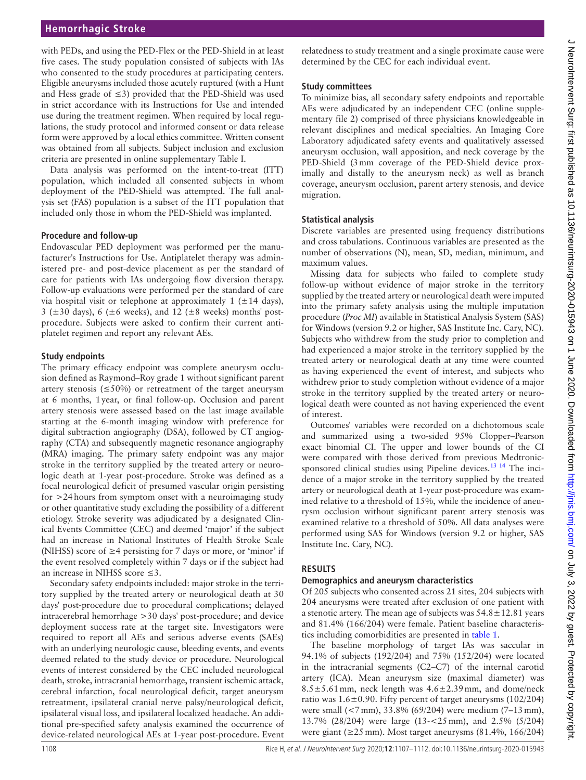# **Hemorrhagic Stroke**

with PEDs, and using the PED-Flex or the PED-Shield in at least five cases. The study population consisted of subjects with IAs who consented to the study procedures at participating centers. Eligible aneurysms included those acutely ruptured (with a Hunt and Hess grade of ≤3) provided that the PED-Shield was used in strict accordance with its Instructions for Use and intended use during the treatment regimen. When required by local regulations, the study protocol and informed consent or data release form were approved by a local ethics committee. Written consent was obtained from all subjects. Subject inclusion and exclusion criteria are presented in [online supplementary Table I.](https://dx.doi.org/10.1136/neurintsurg-2020-015943)

Data analysis was performed on the intent-to-treat (ITT) population, which included all consented subjects in whom deployment of the PED-Shield was attempted. The full analysis set (FAS) population is a subset of the ITT population that included only those in whom the PED-Shield was implanted.

## **Procedure and follow-up**

Endovascular PED deployment was performed per the manufacturer's Instructions for Use. Antiplatelet therapy was administered pre- and post-device placement as per the standard of care for patients with IAs undergoing flow diversion therapy. Follow-up evaluations were performed per the standard of care via hospital visit or telephone at approximately 1 ( $\pm$ 14 days), 3 ( $\pm$ 30 days), 6 ( $\pm$ 6 weeks), and 12 ( $\pm$ 8 weeks) months' postprocedure. Subjects were asked to confirm their current antiplatelet regimen and report any relevant AEs.

## **Study endpoints**

The primary efficacy endpoint was complete aneurysm occlusion defined as Raymond–Roy grade 1 without significant parent artery stenosis ( $\leq$ 50%) or retreatment of the target aneurysm at 6 months, 1year, or final follow-up. Occlusion and parent artery stenosis were assessed based on the last image available starting at the 6-month imaging window with preference for digital subtraction angiography (DSA), followed by CT angiography (CTA) and subsequently magnetic resonance angiography (MRA) imaging. The primary safety endpoint was any major stroke in the territory supplied by the treated artery or neurologic death at 1-year post-procedure. Stroke was defined as a focal neurological deficit of presumed vascular origin persisting for >24hours from symptom onset with a neuroimaging study or other quantitative study excluding the possibility of a different etiology. Stroke severity was adjudicated by a designated Clinical Events Committee (CEC) and deemed 'major' if the subject had an increase in National Institutes of Health Stroke Scale (NIHSS) score of  $\geq$ 4 persisting for 7 days or more, or 'minor' if the event resolved completely within 7 days or if the subject had an increase in NIHSS score ≤3.

Secondary safety endpoints included: major stroke in the territory supplied by the treated artery or neurological death at 30 days' post-procedure due to procedural complications; delayed intracerebral hemorrhage >30 days' post-procedure; and device deployment success rate at the target site. Investigators were required to report all AEs and serious adverse events (SAEs) with an underlying neurologic cause, bleeding events, and events deemed related to the study device or procedure. Neurological events of interest considered by the CEC included neurological death, stroke, intracranial hemorrhage, transient ischemic attack, cerebral infarction, focal neurological deficit, target aneurysm retreatment, ipsilateral cranial nerve palsy/neurological deficit, ipsilateral visual loss, and ipsilateral localized headache. An additional pre-specified safety analysis examined the occurrence of device-related neurological AEs at 1-year post-procedure. Event

relatedness to study treatment and a single proximate cause were determined by the CEC for each individual event.

# **Study committees**

To minimize bias, all secondary safety endpoints and reportable AEs were adjudicated by an independent CEC ([online supple](https://dx.doi.org/10.1136/neurintsurg-2020-015943)[mentary file 2](https://dx.doi.org/10.1136/neurintsurg-2020-015943)) comprised of three physicians knowledgeable in relevant disciplines and medical specialties. An Imaging Core Laboratory adjudicated safety events and qualitatively assessed aneurysm occlusion, wall apposition, and neck coverage by the PED-Shield (3mm coverage of the PED-Shield device proximally and distally to the aneurysm neck) as well as branch coverage, aneurysm occlusion, parent artery stenosis, and device migration.

# **Statistical analysis**

Discrete variables are presented using frequency distributions and cross tabulations. Continuous variables are presented as the number of observations (N), mean, SD, median, minimum, and maximum values.

Missing data for subjects who failed to complete study follow-up without evidence of major stroke in the territory supplied by the treated artery or neurological death were imputed into the primary safety analysis using the multiple imputation procedure (*Proc MI*) available in Statistical Analysis System (SAS) for Windows (version 9.2 or higher, SAS Institute Inc. Cary, NC). Subjects who withdrew from the study prior to completion and had experienced a major stroke in the territory supplied by the treated artery or neurological death at any time were counted as having experienced the event of interest, and subjects who withdrew prior to study completion without evidence of a major stroke in the territory supplied by the treated artery or neurological death were counted as not having experienced the event of interest.

Outcomes' variables were recorded on a dichotomous scale and summarized using a two-sided 95% Clopper–Pearson exact binomial CI. The upper and lower bounds of the CI were compared with those derived from previous Medtronicsponsored clinical studies using Pipeline devices.<sup>13 14</sup> The incidence of a major stroke in the territory supplied by the treated artery or neurological death at 1-year post-procedure was examined relative to a threshold of 15%, while the incidence of aneurysm occlusion without significant parent artery stenosis was examined relative to a threshold of 50%. All data analyses were performed using SAS for Windows (version 9.2 or higher, SAS Institute Inc. Cary, NC).

# **Results**

# **Demographics and aneurysm characteristics**

Of 205 subjects who consented across 21 sites, 204 subjects with 204 aneurysms were treated after exclusion of one patient with a stenotic artery. The mean age of subjects was  $54.8 \pm 12.81$  years and 81.4% (166/204) were female. Patient baseline characteristics including comorbidities are presented in [table](#page-2-0) 1.

The baseline morphology of target IAs was saccular in 94.1% of subjects (192/204) and 75% (152/204) were located in the intracranial segments (C2–C7) of the internal carotid artery (ICA). Mean aneurysm size (maximal diameter) was  $8.5 \pm 5.61$  mm, neck length was  $4.6 \pm 2.39$  mm, and dome/neck ratio was  $1.6 \pm 0.90$ . Fifty percent of target aneurysms (102/204) were small (<7mm), 33.8% (69/204) were medium (7–13mm), 13.7% (28/204) were large (13-<25mm), and 2.5% (5/204) were giant (≥25mm). Most target aneurysms (81.4%, 166/204)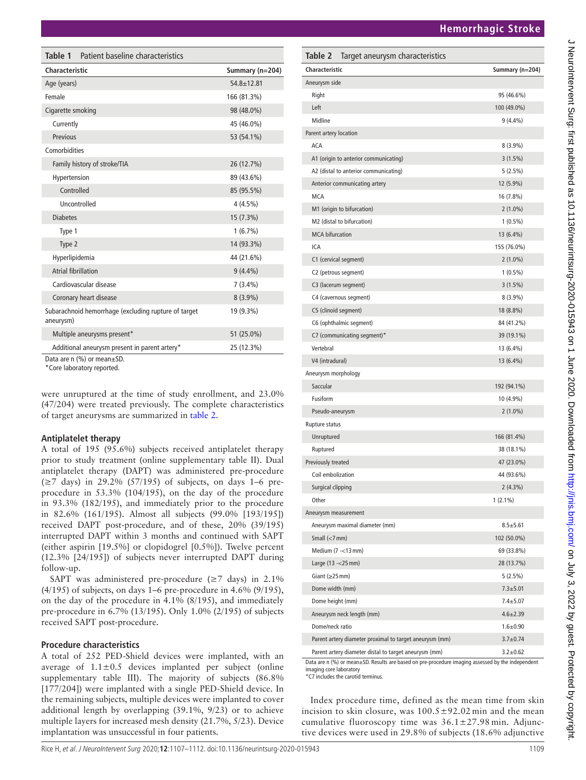**Characteristic Summary (n=204)**

| <b>Characteristic</b>                                                                                                          | Summary (n=204)  | Characteristic                        | Summary (n  |
|--------------------------------------------------------------------------------------------------------------------------------|------------------|---------------------------------------|-------------|
| Age (years)                                                                                                                    | $54.8 \pm 12.81$ | Aneurysm side                         |             |
| Female                                                                                                                         | 166 (81.3%)      | Right                                 | 95 (46.6%)  |
| Cigarette smoking                                                                                                              | 98 (48.0%)       | Left                                  | 100 (49.0%) |
| Currently                                                                                                                      | 45 (46.0%)       | Midline                               | $9(4.4\%)$  |
| Previous                                                                                                                       | 53 (54.1%)       | Parent artery location                |             |
| Comorbidities                                                                                                                  |                  | ACA                                   | $8(3.9\%)$  |
| Family history of stroke/TIA                                                                                                   | 26 (12.7%)       | A1 (origin to anterior communicating) | $3(1.5\%)$  |
| Hypertension                                                                                                                   | 89 (43.6%)       | A2 (distal to anterior communicating) | $5(2.5\%)$  |
| Controlled                                                                                                                     | 85 (95.5%)       | Anterior communicating artery         | 12 (5.9%)   |
| Uncontrolled                                                                                                                   | $4(4.5\%)$       | <b>MCA</b>                            | 16 (7.8%)   |
| <b>Diabetes</b>                                                                                                                | 15 (7.3%)        | M1 (origin to bifurcation)            | $2(1.0\%)$  |
| Type 1                                                                                                                         | $1(6.7\%)$       | M2 (distal to bifurcation)            | $1(0.5\%)$  |
|                                                                                                                                |                  | <b>MCA</b> bifurcation                | 13 (6.4%)   |
| Type 2                                                                                                                         | 14 (93.3%)       | ICA                                   | 155 (76.0%) |
| Hyperlipidemia                                                                                                                 | 44 (21.6%)       | C1 (cervical segment)                 | $2(1.0\%)$  |
| <b>Atrial fibrillation</b>                                                                                                     | $9(4.4\%)$       | C2 (petrous segment)                  | $1(0.5\%)$  |
| Cardiovascular disease                                                                                                         | $7(3.4\%)$       | C3 (lacerum segment)                  | $3(1.5\%)$  |
| Coronary heart disease                                                                                                         | $8(3.9\%)$       | C4 (cavernous segment)                | $8(3.9\%)$  |
| Subarachnoid hemorrhage (excluding rupture of target                                                                           | 19 (9.3%)        | C5 (clinoid segment)                  | 18 (8.8%)   |
| aneurysm)                                                                                                                      |                  | C6 (ophthalmic segment)               | 84 (41.2%)  |
| Multiple aneurysms present*                                                                                                    | 51 (25.0%)       | C7 (communicating segment)*           | 39 (19.1%)  |
| Additional aneurysm present in parent artery*                                                                                  | 25 (12.3%)       | Vertebral                             | 13 (6.4%)   |
| Data are n (%) or mean±SD.<br>*Core laboratory reported.                                                                       |                  | V4 (intradural)                       | 13 (6.4%)   |
|                                                                                                                                |                  | Aneurysm morphology                   |             |
|                                                                                                                                |                  | Saccular                              | 192 (94.1%) |
| were unruptured at the time of study enrollment, and 23.0%<br>$(47/204)$ were treated previously. The complete characteristics |                  | Fusiform                              | 10 (4.9%)   |
| of target aneurysms are summarized in table 2.                                                                                 |                  | Pseudo-aneurysm                       | $2(1.0\%)$  |
|                                                                                                                                |                  | <b>Runture status</b>                 |             |

# **Antiplatelet therapy**

<span id="page-2-0"></span>**Table 1** Patient baseline characteristics

A total of 195 (95.6%) subjects received antiplatelet therapy prior to study treatment ([online supplementary table II\)](https://dx.doi.org/10.1136/neurintsurg-2020-015943). Dual antiplatelet therapy (DAPT) was administered pre-procedure (≥7 days) in 29.2% (57/195) of subjects, on days 1–6 preprocedure in 53.3% (104/195), on the day of the procedure in 93.3% (182/195), and immediately prior to the procedure in 82.6% (161/195). Almost all subjects (99.0% [193/195]) received DAPT post-procedure, and of these, 20% (39/195) interrupted DAPT within 3 months and continued with SAPT (either aspirin [19.5%] or clopidogrel [0.5%]). Twelve percent (12.3% [24/195]) of subjects never interrupted DAPT during follow-up.

SAPT was administered pre-procedure ( $\geq$ 7 days) in 2.1% (4/195) of subjects, on days 1–6 pre-procedure in 4.6% (9/195), on the day of the procedure in 4.1% (8/195), and immediately pre-procedure in 6.7% (13/195). Only 1.0% (2/195) of subjects received SAPT post-procedure.

# **Procedure characteristics**

A total of 252 PED-Shield devices were implanted, with an average of  $1.1 \pm 0.5$  devices implanted per subject (online [supplementary table III\)](https://dx.doi.org/10.1136/neurintsurg-2020-015943). The majority of subjects (86.8% [177/204]) were implanted with a single PED-Shield device. In the remaining subjects, multiple devices were implanted to cover additional length by overlapping (39.1%, 9/23) or to achieve multiple layers for increased mesh density (21.7%, 5/23). Device implantation was unsuccessful in four patients.

| M2 (distal to bifurcation)                              | $1(0.5\%)$     |
|---------------------------------------------------------|----------------|
| <b>MCA</b> bifurcation                                  | 13 (6.4%)      |
| <b>ICA</b>                                              | 155 (76.0%)    |
| C1 (cervical segment)                                   | $2(1.0\%)$     |
| C2 (petrous segment)                                    | $1(0.5\%)$     |
| C3 (lacerum segment)                                    | 3(1.5%)        |
| C4 (cavernous segment)                                  | $8(3.9\%)$     |
| C5 (clinoid segment)                                    | 18 (8.8%)      |
| C6 (ophthalmic segment)                                 | 84 (41.2%)     |
| C7 (communicating segment)*                             | 39 (19.1%)     |
| Vertebral                                               | 13 (6.4%)      |
| V4 (intradural)                                         | 13 (6.4%)      |
| Aneurysm morphology                                     |                |
| Saccular                                                | 192 (94.1%)    |
| Fusiform                                                | 10 (4.9%)      |
| Pseudo-aneurysm                                         | $2(1.0\%)$     |
| Rupture status                                          |                |
| Unruptured                                              | 166 (81.4%)    |
| Ruptured                                                | 38 (18.1%)     |
| Previously treated                                      | 47 (23.0%)     |
| Coil embolization                                       | 44 (93.6%)     |
| Surgical clipping                                       | $2(4.3\%)$     |
| Other                                                   | $1(2.1\%)$     |
| Aneurysm measurement                                    |                |
| Aneurysm maximal diameter (mm)                          | $8.5 + 5.61$   |
| Small $(<7$ mm)                                         | 102 (50.0%)    |
| Medium (7 - < 13 mm)                                    | 69 (33.8%)     |
| Large (13 - < 25 mm)                                    | 28 (13.7%)     |
| Giant ( $\geq$ 25 mm)                                   | $5(2.5\%)$     |
| Dome width (mm)                                         | $7.3 + 5.01$   |
| Dome height (mm)                                        | $7.4 + 5.07$   |
| Aneurysm neck length (mm)                               | $4.6 \pm 2.39$ |
| Dome/neck ratio                                         | $1.6 + 0.90$   |
| Parent artery diameter proximal to target aneurysm (mm) | $3.7 \pm 0.74$ |
| Parent artery diameter distal to target aneurysm (mm)   | $3.2 \pm 0.62$ |

<span id="page-2-1"></span>**Table 2** Target aneurysm characteristics

Data are n (%) or mean±SD. Results are based on pre-procedure imaging assessed by the independent imaging core laboratory

\*C7 includes the carotid terminus.

Index procedure time, defined as the mean time from skin incision to skin closure, was  $100.5 \pm 92.02$  min and the mean cumulative fluoroscopy time was 36.1±27.98 min. Adjunctive devices were used in 29.8% of subjects (18.6% adjunctive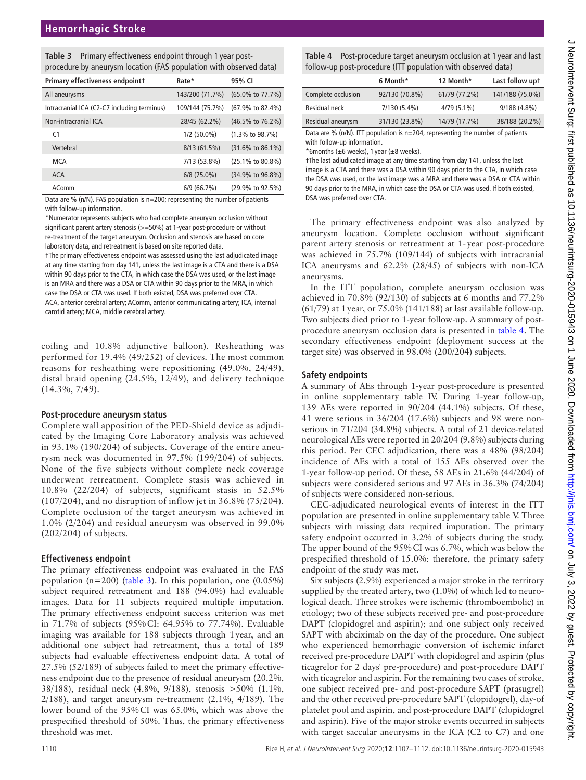<span id="page-3-0"></span>

| <b>Table 3</b> Primary effectiveness endpoint through 1 year post- |
|--------------------------------------------------------------------|
| procedure by aneurysm location (FAS population with observed data) |

| Primary effectiveness endpointt             | Rate*           | 95% CI                        |
|---------------------------------------------|-----------------|-------------------------------|
| All aneurysms                               | 143/200 (71.7%) | (65.0% to 77.7%)              |
| Intracranial ICA (C2-C7 including terminus) | 109/144 (75.7%) | (67.9% to 82.4%)              |
| Non-intracranial ICA                        | 28/45 (62.2%)   | (46.5% to 76.2%)              |
| C <sub>1</sub>                              | $1/2$ (50.0%)   | $(1.3\% \text{ to } 98.7\%)$  |
| Vertebral                                   | 8/13(61.5%)     | $(31.6\% \text{ to } 86.1\%)$ |
| MCA                                         | 7/13 (53.8%)    | $(25.1\% \text{ to } 80.8\%)$ |
| <b>ACA</b>                                  | $6/8$ (75.0%)   | (34.9% to 96.8%)              |
| AComm                                       | 6/9(66.7%)      | (29.9% to 92.5%)              |
|                                             |                 |                               |

Data are % (n/N). FAS population is n=200; representing the number of patients with follow-up information.

\*Numerator represents subjects who had complete aneurysm occlusion without significant parent artery stenosis (>=50%) at 1-year post-procedure or without re-treatment of the target aneurysm. Occlusion and stenosis are based on core laboratory data, and retreatment is based on site reported data.

†The primary effectiveness endpoint was assessed using the last adjudicated image at any time starting from day 141, unless the last image is a CTA and there is a DSA within 90 days prior to the CTA, in which case the DSA was used, or the last image is an MRA and there was a DSA or CTA within 90 days prior to the MRA, in which case the DSA or CTA was used. If both existed, DSA was preferred over CTA. ACA, anterior cerebral artery; AComm, anterior communicating artery; ICA, internal carotid artery; MCA, middle cerebral artery.

coiling and 10.8% adjunctive balloon). Resheathing was performed for 19.4% (49/252) of devices. The most common reasons for resheathing were repositioning (49.0%, 24/49), distal braid opening (24.5%, 12/49), and delivery technique (14.3%, 7/49).

## **Post-procedure aneurysm status**

Complete wall apposition of the PED-Shield device as adjudicated by the Imaging Core Laboratory analysis was achieved in 93.1% (190/204) of subjects. Coverage of the entire aneurysm neck was documented in 97.5% (199/204) of subjects. None of the five subjects without complete neck coverage underwent retreatment. Complete stasis was achieved in 10.8% (22/204) of subjects, significant stasis in 52.5% (107/204), and no disruption of inflow jet in 36.8% (75/204). Complete occlusion of the target aneurysm was achieved in 1.0% (2/204) and residual aneurysm was observed in 99.0% (202/204) of subjects.

# **Effectiveness endpoint**

The primary effectiveness endpoint was evaluated in the FAS population (n=200) [\(table](#page-3-0) 3). In this population, one (0.05%) subject required retreatment and 188 (94.0%) had evaluable images. Data for 11 subjects required multiple imputation. The primary effectiveness endpoint success criterion was met in 71.7% of subjects (95%CI: 64.95% to 77.74%). Evaluable imaging was available for 188 subjects through 1year, and an additional one subject had retreatment, thus a total of 189 subjects had evaluable effectiveness endpoint data. A total of 27.5% (52/189) of subjects failed to meet the primary effectiveness endpoint due to the presence of residual aneurysm (20.2%, 38/188), residual neck (4.8%, 9/188), stenosis >50% (1.1%,  $2/188$ ), and target aneurysm re-treatment  $(2.1\%, 4/189)$ . The lower bound of the 95%CI was 65.0%, which was above the prespecified threshold of 50%. Thus, the primary effectiveness threshold was met.

<span id="page-3-1"></span>**Table 4** Post-procedure target aneurysm occlusion at 1 year and last follow-up post-procedure (ITT population with observed data)

|                    | 6 Month*       | 12 Month*     | Last follow upt |
|--------------------|----------------|---------------|-----------------|
| Complete occlusion | 92/130 (70.8%) | 61/79 (77.2%) | 141/188 (75.0%) |
| Residual neck      | 7/130 (5.4%)   | $4/79(5.1\%)$ | 9/188 (4.8%)    |
| Residual aneurysm  | 31/130 (23.8%) | 14/79 (17.7%) | 38/188 (20.2%)  |
|                    |                |               |                 |

Data are % (n/N). ITT population is n=204, representing the number of patients with follow-up information.

\*6months ( $\pm$ 6 weeks), 1 year ( $\pm$ 8 weeks).

†The last adjudicated image at any time starting from day 141, unless the last image is a CTA and there was a DSA within 90 days prior to the CTA, in which case the DSA was used, or the last image was a MRA and there was a DSA or CTA within 90 days prior to the MRA, in which case the DSA or CTA was used. If both existed, DSA was preferred over CTA.

The primary effectiveness endpoint was also analyzed by aneurysm location. Complete occlusion without significant parent artery stenosis or retreatment at 1- year post-procedure was achieved in 75.7% (109/144) of subjects with intracranial ICA aneurysms and 62.2% (28/45) of subjects with non-ICA aneurysms.

In the ITT population, complete aneurysm occlusion was achieved in 70.8% (92/130) of subjects at 6 months and 77.2% (61/79) at 1year, or 75.0% (141/188) at last available follow-up. Two subjects died prior to 1-year follow-up. A summary of postprocedure aneurysm occlusion data is presented in [table](#page-3-1) 4. The secondary effectiveness endpoint (deployment success at the target site) was observed in 98.0% (200/204) subjects.

# **Safety endpoints**

A summary of AEs through 1-year post-procedure is presented in [online supplementary table IV.](https://dx.doi.org/10.1136/neurintsurg-2020-015943) During 1-year follow-up, 139 AEs were reported in 90/204 (44.1%) subjects. Of these, 41 were serious in 36/204 (17.6%) subjects and 98 were nonserious in 71/204 (34.8%) subjects. A total of 21 device-related neurological AEs were reported in 20/204 (9.8%) subjects during this period. Per CEC adjudication, there was a 48% (98/204) incidence of AEs with a total of 155 AEs observed over the 1-year follow-up period. Of these, 58 AEs in 21.6% (44/204) of subjects were considered serious and 97 AEs in 36.3% (74/204) of subjects were considered non-serious.

CEC-adjudicated neurological events of interest in the ITT population are presented in [online supplementary table V.](https://dx.doi.org/10.1136/neurintsurg-2020-015943) Three subjects with missing data required imputation. The primary safety endpoint occurred in 3.2% of subjects during the study. The upper bound of the 95%CI was 6.7%, which was below the prespecified threshold of 15.0%: therefore, the primary safety endpoint of the study was met.

Six subjects (2.9%) experienced a major stroke in the territory supplied by the treated artery, two (1.0%) of which led to neurological death. Three strokes were ischemic (thromboembolic) in etiology; two of these subjects received pre- and post-procedure DAPT (clopidogrel and aspirin); and one subject only received SAPT with abciximab on the day of the procedure. One subject who experienced hemorrhagic conversion of ischemic infarct received pre-procedure DAPT with clopidogrel and aspirin (plus ticagrelor for 2 days' pre-procedure) and post-procedure DAPT with ticagrelor and aspirin. For the remaining two cases of stroke, one subject received pre- and post-procedure SAPT (prasugrel) and the other received pre-procedure SAPT (clopidogrel), day-of platelet pool and aspirin, and post-procedure DAPT (clopidogrel and aspirin). Five of the major stroke events occurred in subjects with target saccular aneurysms in the ICA (C2 to C7) and one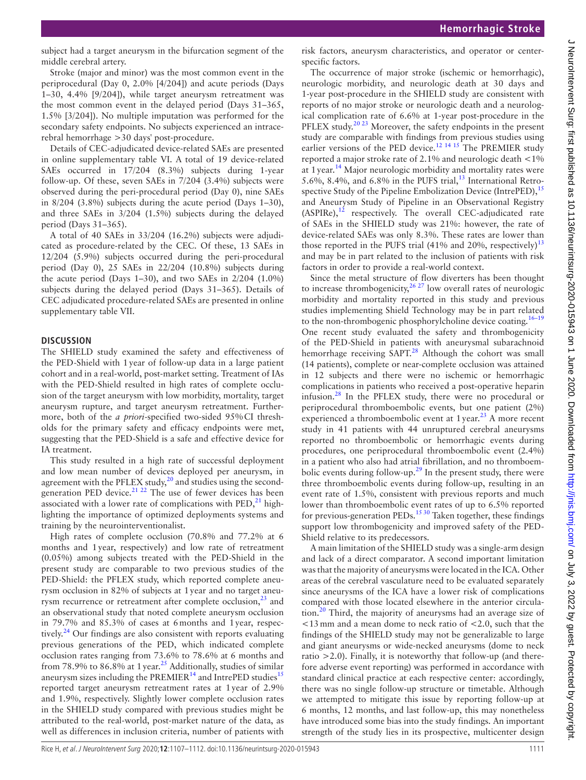subject had a target aneurysm in the bifurcation segment of the middle cerebral artery.

Stroke (major and minor) was the most common event in the periprocedural (Day 0, 2.0% [4/204]) and acute periods (Days 1–30, 4.4% [9/204]), while target aneurysm retreatment was the most common event in the delayed period (Days 31–365, 1.5% [3/204]). No multiple imputation was performed for the secondary safety endpoints. No subjects experienced an intracerebral hemorrhage >30 days' post-procedure.

Details of CEC-adjudicated device-related SAEs are presented in [online supplementary table VI.](https://dx.doi.org/10.1136/neurintsurg-2020-015943) A total of 19 device-related SAEs occurred in 17/204 (8.3%) subjects during 1-year follow-up. Of these, seven SAEs in 7/204 (3.4%) subjects were observed during the peri-procedural period (Day 0), nine SAEs in 8/204 (3.8%) subjects during the acute period (Days 1–30), and three SAEs in 3/204 (1.5%) subjects during the delayed period (Days 31–365).

A total of 40 SAEs in 33/204 (16.2%) subjects were adjudicated as procedure-related by the CEC. Of these, 13 SAEs in 12/204 (5.9%) subjects occurred during the peri-procedural period (Day 0), 25 SAEs in 22/204 (10.8%) subjects during the acute period (Days 1–30), and two SAEs in 2/204 (1.0%) subjects during the delayed period (Days 31–365). Details of CEC adjudicated procedure-related SAEs are presented in [online](https://dx.doi.org/10.1136/neurintsurg-2020-015943)  [supplementary table VII.](https://dx.doi.org/10.1136/neurintsurg-2020-015943)

## **Discussion**

The SHIELD study examined the safety and effectiveness of the PED-Shield with 1year of follow-up data in a large patient cohort and in a real-world, post-market setting. Treatment of IAs with the PED-Shield resulted in high rates of complete occlusion of the target aneurysm with low morbidity, mortality, target aneurysm rupture, and target aneurysm retreatment. Furthermore, both of the *a priori*-specified two-sided 95%CI thresholds for the primary safety and efficacy endpoints were met, suggesting that the PED-Shield is a safe and effective device for IA treatment.

This study resulted in a high rate of successful deployment and low mean number of devices deployed per aneurysm, in agreement with the PFLEX study, $^{20}$  $^{20}$  $^{20}$  and studies using the second-generation PED device.<sup>[21 22](#page-5-7)</sup> The use of fewer devices has been associated with a lower rate of complications with  $\text{PED}$ , $^{21}$  highlighting the importance of optimized deployments systems and training by the neurointerventionalist.

High rates of complete occlusion (70.8% and 77.2% at 6 months and 1year, respectively) and low rate of retreatment (0.05%) among subjects treated with the PED-Shield in the present study are comparable to two previous studies of the PED-Shield: the PFLEX study, which reported complete aneurysm occlusion in 82% of subjects at 1year and no target aneurysm recurrence or retreatment after complete occlusion, $^{23}$  $^{23}$  $^{23}$  and an observational study that noted complete aneurysm occlusion in 79.7% and 85.3% of cases at 6months and 1year, respectively.<sup>24</sup> Our findings are also consistent with reports evaluating previous generations of the PED, which indicated complete occlusion rates ranging from 73.6% to 78.6% at 6 months and from 78.9% to 86.8% at 1 year.<sup>[25](#page-5-10)</sup> Additionally, studies of similar aneurysm sizes including the PREMIER $14$  and IntrePED studies $15$ reported target aneurysm retreatment rates at 1year of 2.9% and 1.9%, respectively. Slightly lower complete occlusion rates in the SHIELD study compared with previous studies might be attributed to the real-world, post-market nature of the data, as well as differences in inclusion criteria, number of patients with

risk factors, aneurysm characteristics, and operator or centerspecific factors.

The occurrence of major stroke (ischemic or hemorrhagic), neurologic morbidity, and neurologic death at 30 days and 1-year post-procedure in the SHIELD study are consistent with reports of no major stroke or neurologic death and a neurological complication rate of 6.6% at 1-year post-procedure in the PFLEX study.<sup>[20 23](#page-5-6)</sup> Moreover, the safety endpoints in the present study are comparable with findings from previous studies using earlier versions of the PED device.<sup>12 14 15</sup> The PREMIER study reported a major stroke rate of 2.1% and neurologic death <1% at 1 year.<sup>[14](#page-5-11)</sup> Major neurologic morbidity and mortality rates were 5.6%, 8.4%, and 6.8% in the PUFS trial, $^{13}$  International Retro-spective Study of the Pipeline Embolization Device (IntrePED),<sup>[15](#page-5-12)</sup> and Aneurysm Study of Pipeline in an Observational Registry  $(ASPIRe),<sup>12</sup>$  respectively. The overall CEC-adjudicated rate of SAEs in the SHIELD study was 21%: however, the rate of device-related SAEs was only 8.3%. These rates are lower than those reported in the PUFS trial (41% and 20%, respectively)<sup>[13](#page-5-5)</sup> and may be in part related to the inclusion of patients with risk factors in order to provide a real-world context.

Since the metal structure of flow diverters has been thought to increase thrombogenicity,  $2^{6}$   $27$  low overall rates of neurologic morbidity and mortality reported in this study and previous studies implementing Shield Technology may be in part related to the non-thrombogenic phosphorylcholine device coating.<sup>16-19</sup> One recent study evaluated the safety and thrombogenicity of the PED-Shield in patients with aneurysmal subarachnoid hemorrhage receiving SAPT.<sup>[28](#page-5-14)</sup> Although the cohort was small (14 patients), complete or near-complete occlusion was attained in 12 subjects and there were no ischemic or hemorrhagic complications in patients who received a post-operative heparin infusion. $28$  In the PFLEX study, there were no procedural or periprocedural thromboembolic events, but one patient (2%) experienced a thromboembolic event at  $1$  year.<sup>23</sup> A more recent study in 41 patients with 44 unruptured cerebral aneurysms reported no thromboembolic or hemorrhagic events during procedures, one periprocedural thromboembolic event (2.4%) in a patient who also had atrial fibrillation, and no thromboem-bolic events during follow-up.<sup>[29](#page-5-15)</sup> In the present study, there were three thromboembolic events during follow-up, resulting in an event rate of 1.5%, consistent with previous reports and much lower than thromboembolic event rates of up to 6.5% reported for previous-generation PEDs.<sup>[15 30](#page-5-12)</sup> Taken together, these findings support low thrombogenicity and improved safety of the PED-Shield relative to its predecessors.

A main limitation of the SHIELD study was a single-arm design and lack of a direct comparator. A second important limitation was that the majority of aneurysms were located in the ICA. Other areas of the cerebral vasculature need to be evaluated separately since aneurysms of the ICA have a lower risk of complications compared with those located elsewhere in the anterior circula-tion.<sup>[20](#page-5-6)</sup> Third, the majority of aneurysms had an average size of <13mm and a mean dome to neck ratio of <2.0, such that the findings of the SHIELD study may not be generalizable to large and giant aneurysms or wide-necked aneurysms (dome to neck ratio  $>2.0$ ). Finally, it is noteworthy that follow-up (and therefore adverse event reporting) was performed in accordance with standard clinical practice at each respective center: accordingly, there was no single follow-up structure or timetable. Although we attempted to mitigate this issue by reporting follow-up at 6 months, 12 months, and last follow-up, this may nonetheless have introduced some bias into the study findings. An important strength of the study lies in its prospective, multicenter design